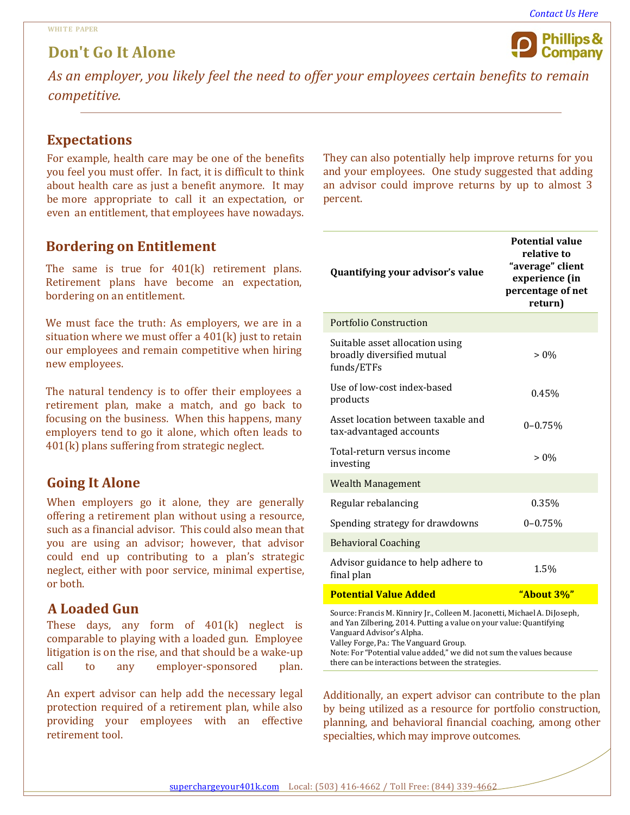# **Don't Go It Alone**



*As an employer, you likely feel the need to offer your employees certain benefits to remain competitive.*

### **Expectations**

For example, health care may be one of the benefits you feel you must offer. In fact, it is difficult to think about health care as just a benefit anymore. It may be more appropriate to call it an expectation, or even an entitlement, that employees have nowadays.

### **Bordering on Entitlement**

The same is true for 401(k) retirement plans. Retirement plans have become an expectation, bordering on an entitlement.

We must face the truth: As employers, we are in a situation where we must offer a 401(k) just to retain our employees and remain competitive when hiring new employees.

The natural tendency is to offer their employees a retirement plan, make a match, and go back to focusing on the business. When this happens, many employers tend to go it alone, which often leads to 401(k) plans suffering from strategic neglect.

## **Going It Alone**

When employers go it alone, they are generally offering a retirement plan without using a resource, such as a financial advisor. This could also mean that you are using an advisor; however, that advisor could end up contributing to a plan's strategic neglect, either with poor service, minimal expertise, or both.

### **A Loaded Gun**

These days, any form of 401(k) neglect is comparable to playing with a loaded gun. Employee litigation is on the rise, and that should be a wake-up<br>call to any employer-sponsored plan. to any employer-sponsored plan.

An expert advisor can help add the necessary legal protection required of a retirement plan, while also providing your employees with an effective retirement tool.

They can also potentially help improve returns for you and your employees. One study suggested that adding an advisor could improve returns by up to almost 3 percent.

|                                                                                                                                                                                                                          | <b>Potential value</b><br>relative to                              |
|--------------------------------------------------------------------------------------------------------------------------------------------------------------------------------------------------------------------------|--------------------------------------------------------------------|
| Quantifying your advisor's value                                                                                                                                                                                         | "average" client<br>experience (in<br>percentage of net<br>return) |
| <b>Portfolio Construction</b>                                                                                                                                                                                            |                                                                    |
| Suitable asset allocation using<br>broadly diversified mutual<br>funds/ETFs                                                                                                                                              | $> 0\%$                                                            |
| Use of low-cost index-based<br>products                                                                                                                                                                                  | 0.45%                                                              |
| Asset location between taxable and<br>tax-advantaged accounts                                                                                                                                                            | $0 - 0.75%$                                                        |
| Total-return versus income<br>investing                                                                                                                                                                                  | $> 0\%$                                                            |
| <b>Wealth Management</b>                                                                                                                                                                                                 |                                                                    |
| Regular rebalancing                                                                                                                                                                                                      | 0.35%                                                              |
| Spending strategy for drawdowns                                                                                                                                                                                          | $0 - 0.75%$                                                        |
| <b>Behavioral Coaching</b>                                                                                                                                                                                               |                                                                    |
| Advisor guidance to help adhere to<br>final plan                                                                                                                                                                         | 1.5%                                                               |
| <b>Potential Value Added</b>                                                                                                                                                                                             | "About 3%"                                                         |
| Source: Francis M. Kinniry Jr., Colleen M. Jaconetti, Michael A. DiJoseph,<br>and Yan Zilbering, 2014. Putting a value on your value: Quantifying<br>Vanguard Advisor's Alpha.<br>Valley Forge, Pa.: The Vanguard Group. |                                                                    |

Additionally, an expert advisor can contribute to the plan by being utilized as a resource for portfolio construction, planning, and behavioral financial coaching, among other specialties, which may improve outcomes.

Note: For "Potential value added," we did not sum the values because

there can be interactions between the strategies.